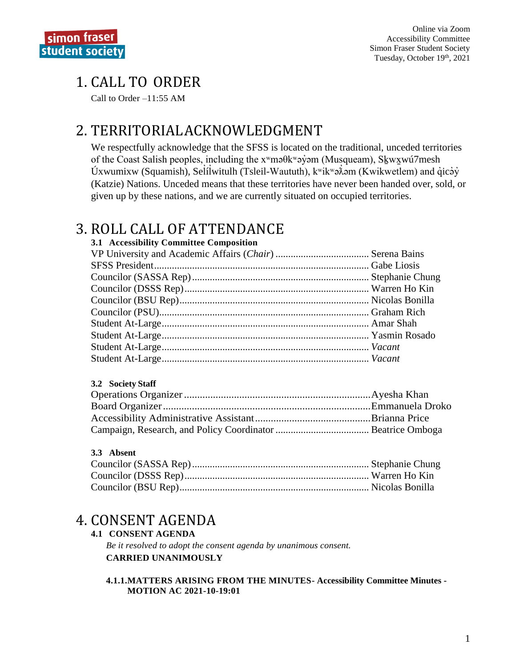# 1. CALL TO ORDER

Call to Order  $-11:55$  AM

# 2. TERRITORIAL ACKNOWLEDGMENT

We respectfully acknowledge that the SFSS is located on the traditional, unceded territories of the Coast Salish peoples, including the x<sup>w</sup>maθk<sup>w</sup>ay am (Musqueam), Skwxwú7mesh Úxwumixw (Squamish), Selílwitulh (Tsleil-Waututh),  $k^w$ ik $k^w$ ə $\lambda$ əm (Kwikwetlem) and qicəy (Katzie) Nations. Unceded means that these territories have never been handed over, sold, or given up by these nations, and we are currently situated on occupied territories.

# 3. ROLL CALL OF ATTENDANCE

### 3.1 Accessibility Committee Composition

### 3.2 Society Staff

## 3.3 Absent

## 4. CONSENT AGENDA

### **4.1 CONSENT AGENDA**

Be it resolved to adopt the consent agenda by unanimous consent. **CARRIED UNANIMOUSLY** 

#### 4.1.1.MATTERS ARISING FROM THE MINUTES- Accessibility Committee Minutes -**MOTION AC 2021-10-19:01**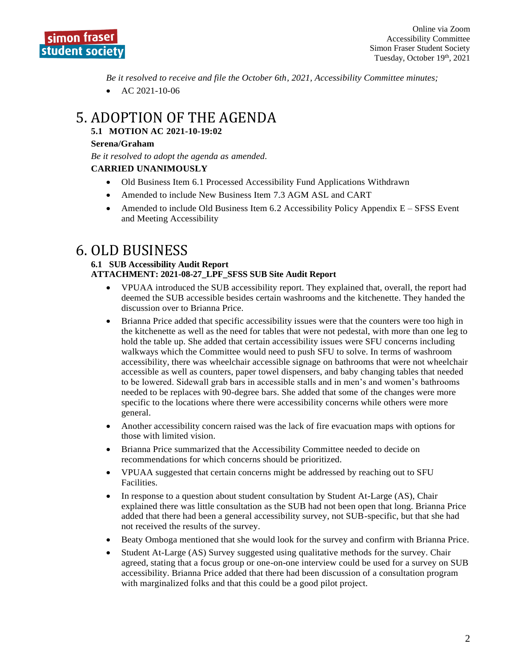

*Be it resolved to receive and file the October 6th, 2021, Accessibility Committee minutes;*

• AC  $2021 - 10 - 06$ 

# 5. ADOPTION OF THE AGENDA

### **5.1 MOTION AC 2021-10-19:02**

#### **Serena/Graham**

*Be it resolved to adopt the agenda as amended.*

#### **CARRIED UNANIMOUSLY**

- Old Business Item 6.1 Processed Accessibility Fund Applications Withdrawn
- Amended to include New Business Item 7.3 AGM ASL and CART
- Amended to include Old Business Item 6.2 Accessibility Policy Appendix E SFSS Event and Meeting Accessibility

## 6. OLD BUSINESS

#### **6.1 SUB Accessibility Audit Report ATTACHMENT: 2021-08-27\_LPF\_SFSS SUB Site Audit Report**

- VPUAA introduced the SUB accessibility report. They explained that, overall, the report had deemed the SUB accessible besides certain washrooms and the kitchenette. They handed the discussion over to Brianna Price.
- Brianna Price added that specific accessibility issues were that the counters were too high in the kitchenette as well as the need for tables that were not pedestal, with more than one leg to hold the table up. She added that certain accessibility issues were SFU concerns including walkways which the Committee would need to push SFU to solve. In terms of washroom accessibility, there was wheelchair accessible signage on bathrooms that were not wheelchair accessible as well as counters, paper towel dispensers, and baby changing tables that needed to be lowered. Sidewall grab bars in accessible stalls and in men's and women's bathrooms needed to be replaces with 90-degree bars. She added that some of the changes were more specific to the locations where there were accessibility concerns while others were more general.
- Another accessibility concern raised was the lack of fire evacuation maps with options for those with limited vision.
- Brianna Price summarized that the Accessibility Committee needed to decide on recommendations for which concerns should be prioritized.
- VPUAA suggested that certain concerns might be addressed by reaching out to SFU Facilities.
- In response to a question about student consultation by Student At-Large (AS), Chair explained there was little consultation as the SUB had not been open that long. Brianna Price added that there had been a general accessibility survey, not SUB-specific, but that she had not received the results of the survey.
- Beaty Omboga mentioned that she would look for the survey and confirm with Brianna Price.
- Student At-Large (AS) Survey suggested using qualitative methods for the survey. Chair agreed, stating that a focus group or one-on-one interview could be used for a survey on SUB accessibility. Brianna Price added that there had been discussion of a consultation program with marginalized folks and that this could be a good pilot project.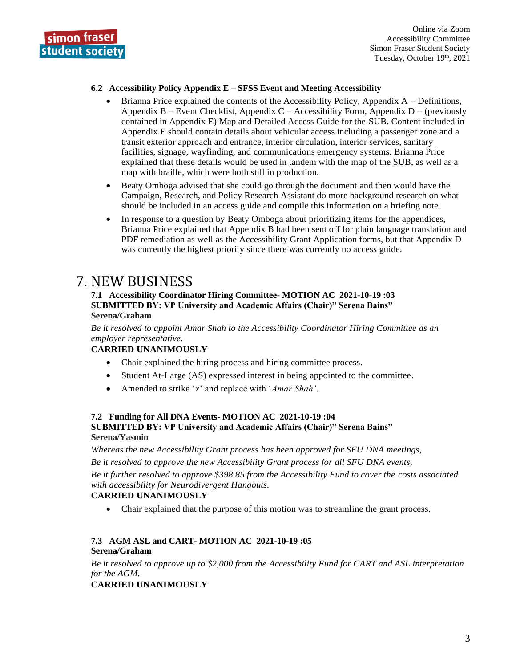

Online via Zoom Accessibility Committee Simon Fraser Student Society Tuesday, October 19<sup>th</sup>, 2021

#### **6.2 Accessibility Policy Appendix E – SFSS Event and Meeting Accessibility**

- Brianna Price explained the contents of the Accessibility Policy, Appendix A Definitions, Appendix B – Event Checklist, Appendix C – Accessibility Form, Appendix D – (previously contained in Appendix E) Map and Detailed Access Guide for the SUB. Content included in Appendix E should contain details about vehicular access including a passenger zone and a transit exterior approach and entrance, interior circulation, interior services, sanitary facilities, signage, wayfinding, and communications emergency systems. Brianna Price explained that these details would be used in tandem with the map of the SUB, as well as a map with braille, which were both still in production.
- Beaty Omboga advised that she could go through the document and then would have the Campaign, Research, and Policy Research Assistant do more background research on what should be included in an access guide and compile this information on a briefing note.
- In response to a question by Beaty Omboga about prioritizing items for the appendices, Brianna Price explained that Appendix B had been sent off for plain language translation and PDF remediation as well as the Accessibility Grant Application forms, but that Appendix D was currently the highest priority since there was currently no access guide.

## 7. NEW BUSINESS

#### **7.1 Accessibility Coordinator Hiring Committee- MOTION AC 2021-10-19 :03 SUBMITTED BY: VP University and Academic Affairs (Chair)" Serena Bains" Serena/Graham**

*Be it resolved to appoint Amar Shah to the Accessibility Coordinator Hiring Committee as an employer representative.*

#### **CARRIED UNANIMOUSLY**

- Chair explained the hiring process and hiring committee process.
- Student At-Large (AS) expressed interest in being appointed to the committee.
- Amended to strike '*x*' and replace with '*Amar Shah'.*

#### **7.2 Funding for All DNA Events- MOTION AC 2021-10-19 :04 SUBMITTED BY: VP University and Academic Affairs (Chair)" Serena Bains" Serena/Yasmin**

*Whereas the new Accessibility Grant process has been approved for SFU DNA meetings,* 

*Be it resolved to approve the new Accessibility Grant process for all SFU DNA events,* 

*Be it further resolved to approve \$398.85 from the Accessibility Fund to cover the costs associated with accessibility for Neurodivergent Hangouts.*

#### **CARRIED UNANIMOUSLY**

• Chair explained that the purpose of this motion was to streamline the grant process.

#### **7.3 AGM ASL and CART- MOTION AC 2021-10-19 :05 Serena/Graham**

*Be it resolved to approve up to \$2,000 from the Accessibility Fund for CART and ASL interpretation for the AGM.* 

#### **CARRIED UNANIMOUSLY**